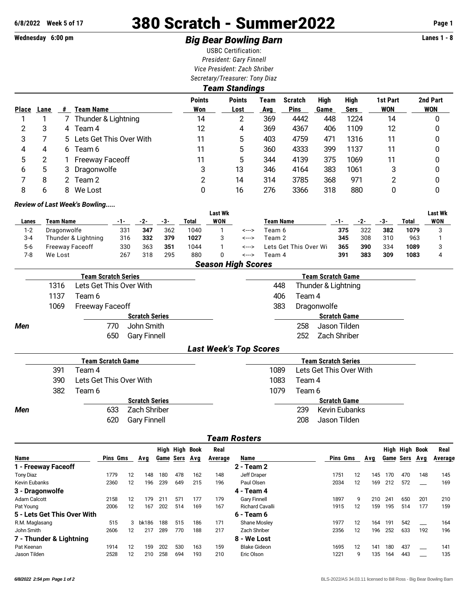# **6/8/2022 Week 5 of 17** 380 Scratch - Summer2022 **Page 1**

# **Wednesday 6:00 pm** *Big Bear Bowling Barn* **Lanes 1 - 8**

USBC Certification: *President: Gary Finnell Vice President: Zach Shriber Secretary/Treasurer: Tony Diaz*

| Team Standings |      |    |                           |                      |                       |             |                               |              |                     |                        |                        |  |  |  |
|----------------|------|----|---------------------------|----------------------|-----------------------|-------------|-------------------------------|--------------|---------------------|------------------------|------------------------|--|--|--|
| <b>Place</b>   | Lane | #  | Team Name                 | <b>Points</b><br>Won | <b>Points</b><br>Lost | Team<br>Avg | <b>Scratch</b><br><b>Pins</b> | High<br>Game | High<br><b>Sers</b> | 1st Part<br><b>WON</b> | 2nd Part<br><b>WON</b> |  |  |  |
|                |      |    | Thunder & Lightning       | 14                   | 2                     | 369         | 4442                          | 448          | 1224                | 14                     | 0                      |  |  |  |
| 2              | 3    | 4  | Team 4                    | 12                   | 4                     | 369         | 4367                          | 406          | 1109                | 12                     | 0                      |  |  |  |
| 3              |      |    | 5 Lets Get This Over With | 11                   | 5                     | 403         | 4759                          | 471          | 1316                | 11                     | 0                      |  |  |  |
| 4              | 4    | 6  | Team 6                    | 11                   | 5                     | 360         | 4333                          | 399          | 1137                | 11                     | 0                      |  |  |  |
| 5              | 2    |    | <b>Freeway Faceoff</b>    | 11                   | 5                     | 344         | 4139                          | 375          | 1069                | 11                     | 0                      |  |  |  |
| 6              | 5    | 3  | Dragonwolfe               | 3                    | 13                    | 346         | 4164                          | 383          | 1061                | 3                      | 0                      |  |  |  |
|                | 8    | 2. | Team 2                    | 2                    | 14                    | 314         | 3785                          | 368          | 971                 | າ                      | 0                      |  |  |  |
| 8              | h    | 8  | We Lost                   | 0                    | 16                    | 276         | 3366                          | 318          | 880                 | 0                      | 0                      |  |  |  |

#### *Review of Last Week's Bowling.....*

|         |                        |     |     |     |       | Last Wk    |       |                       |     |     |     |       | Last Wk |
|---------|------------------------|-----|-----|-----|-------|------------|-------|-----------------------|-----|-----|-----|-------|---------|
| Lanes   | Team Name              |     | -2- | -3- | Total | <b>WON</b> |       | Team Name             | -1- | -2- | -3- | Total | WON     |
| $1-2$   | Dragonwolfe            | 331 | 347 | 362 | 1040  |            | <---> | Team 6                | 375 | 322 | 382 | 1079  |         |
| $3 - 4$ | Thunder & Lightning    | 316 | 332 | 379 | 1027  |            | <---> | Team 2                | 345 | 308 | 310 | 963   |         |
| $5-6$   | <b>Freeway Faceoff</b> | 330 | 363 | 351 | 1044  |            | <---> | Lets Get This Over Wi | 365 | 390 | 334 | 1089  |         |
| 7-8     | We Lost                | 267 | 318 | 295 | 880   |            | <---> | Team 4                | 391 | 383 | 309 | 1083  |         |

|  | <b>Season High Scores</b> |
|--|---------------------------|
|--|---------------------------|

|            |      | <b>Team Scratch Series</b> |                       | <b>Team Scratch Game</b>   |  |
|------------|------|----------------------------|-----------------------|----------------------------|--|
|            | 1316 | Lets Get This Over With    |                       | Thunder & Lightning<br>448 |  |
|            | 1137 | Team 6                     |                       | Team 4<br>406              |  |
|            | 1069 | <b>Freeway Faceoff</b>     |                       | Dragonwolfe<br>383         |  |
|            |      |                            | <b>Scratch Series</b> | <b>Scratch Game</b>        |  |
| <b>Men</b> |      | 770.                       | John Smith            | Jason Tilden<br>258        |  |
|            |      | 650                        | <b>Gary Finnell</b>   | Zach Shriber<br>252.       |  |
|            |      |                            |                       | l aat Waalda Tan Caaxaa    |  |

#### *Last Week's Top Scores*

|     |     | Team Scratch Game          | <b>Team Scratch Series</b>      |
|-----|-----|----------------------------|---------------------------------|
|     | 391 | Team 4                     | Lets Get This Over With<br>1089 |
|     | 390 | Lets Get This Over With    | 1083<br>Team 4                  |
|     | 382 | Team 6                     | 1079<br>Team 6                  |
|     |     | <b>Scratch Series</b>      | <b>Scratch Game</b>             |
| Men |     | Zach Shriber<br>633        | Kevin Eubanks<br>239            |
|     |     | <b>Gary Finnell</b><br>620 | 208<br>Jason Tilden             |
|     |     |                            |                                 |

### *Team Rosters*

|                             |          |                   |       |     | High High Book   |     | Real    |                        |  |          |                   |     |           | High High Book |     | Real    |
|-----------------------------|----------|-------------------|-------|-----|------------------|-----|---------|------------------------|--|----------|-------------------|-----|-----------|----------------|-----|---------|
| <b>Name</b>                 | Pins Gms |                   | Avq   |     | <b>Game Sers</b> | Avg | Average | Name                   |  | Pins Gms |                   | Avg | Game Sers |                | Avq | Average |
| 1 - Freeway Faceoff         |          |                   |       |     |                  |     |         | 2 - Team 2             |  |          |                   |     |           |                |     |         |
| <b>Tony Diaz</b>            | 1779     | 12                | 148   | 180 | 478              | 162 | 148     | Jeff Draper            |  | 1751     | 12                | 145 | 170       | 470            | 148 | 145     |
| Kevin Eubanks               | 2360     | 12                | 196   | 239 | 649              | 215 | 196     | Paul Olsen             |  | 2034     | $12 \overline{ }$ | 169 | 212       | 572            |     | 169     |
| 3 - Dragonwolfe             |          |                   |       |     |                  |     |         | 4 - Team 4             |  |          |                   |     |           |                |     |         |
| Adam Calcott                | 2158     | 12                | 179   | 211 | 571              | 177 | 179     | <b>Gary Finnell</b>    |  | 1897     | 9                 | 210 | 241       | 650            | 201 | 210     |
| Pat Young                   | 2006     | $12 \overline{ }$ | 167   | 202 | 514              | 169 | 167     | <b>Richard Cavalli</b> |  | 1915     | 12                | 159 | 195       | 514            | 177 | 159     |
| 5 - Lets Get This Over With |          |                   |       |     |                  |     |         | 6 - Team 6             |  |          |                   |     |           |                |     |         |
| R.M. Maglasang              | 515      | 3                 | bk186 | 188 | 515              | 186 | 171     | Shane Mosley           |  | 1977     | 12                | 164 | 191       | 542            |     | 164     |
| John Smith                  | 2606     | 12                | 217   | 289 | 770              | 188 | 217     | Zach Shriber           |  | 2356     | 12                | 196 | 252       | 633            | 192 | 196     |
| 7 - Thunder & Lightning     |          |                   |       |     |                  |     |         | 8 - We Lost            |  |          |                   |     |           |                |     |         |
| Pat Keenan                  | 1914     | 12                | 159   | 202 | 530              | 163 | 159     | <b>Blake Gideon</b>    |  | 1695     | 12                | 141 | 180       | 437            |     | 141     |
| Jason Tilden                | 2528     | 12                | 210   | 258 | 694              | 193 | 210     | Eric Olson             |  | 1221     | 9                 | 135 | 164       | 443            |     | 135     |